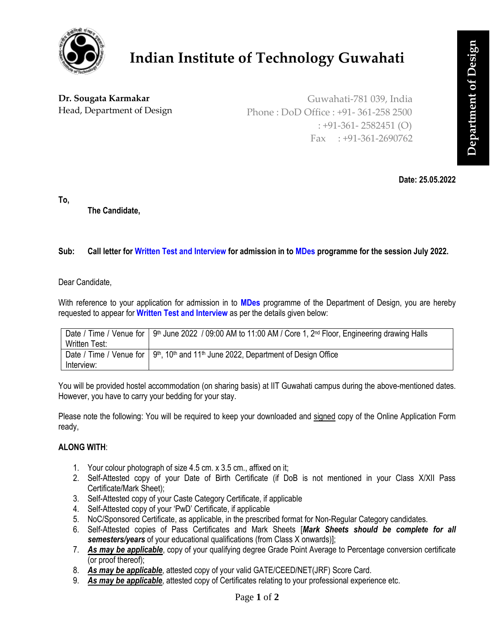

# **Indian Institute of Technology Guwahati**

## **Dr. Sougata Karmakar** Head, Department of Design

Guwahati-781 039, India Phone : DoD Office : +91- 361-258 2500 : +91-361- 2582451 (O) Fax  $: +91-361-2690762$ 

**Date: 25.05.2022**

**To,**

**The Candidate,**

## **Sub: Call letter for Written Test and Interview for admission in to MDes programme for the session July 2022.**

Dear Candidate,

With reference to your application for admission in to **MDes** programme of the Department of Design, you are hereby requested to appear for **Written Test and Interview** as per the details given below:

|               | Date / Time / Venue for   9 <sup>th</sup> June 2022 / 09:00 AM to 11:00 AM / Core 1, 2 <sup>nd</sup> Floor, Engineering drawing Halls |
|---------------|---------------------------------------------------------------------------------------------------------------------------------------|
| Written Test: |                                                                                                                                       |
|               | Date / Time / Venue for   9 <sup>th</sup> , 10 <sup>th</sup> and 11 <sup>th</sup> June 2022, Department of Design Office              |
| Interview:    |                                                                                                                                       |

You will be provided hostel accommodation (on sharing basis) at IIT Guwahati campus during the above-mentioned dates. However, you have to carry your bedding for your stay.

Please note the following: You will be required to keep your downloaded and signed copy of the Online Application Form ready,

#### **ALONG WITH**:

- 1. Your colour photograph of size 4.5 cm. x 3.5 cm., affixed on it;
- 2. Self-Attested copy of your Date of Birth Certificate (if DoB is not mentioned in your Class X/XII Pass Certificate/Mark Sheet);
- 3. Self-Attested copy of your Caste Category Certificate, if applicable
- 4. Self-Attested copy of your 'PwD' Certificate, if applicable
- 5. NoC/Sponsored Certificate, as applicable, in the prescribed format for Non-Regular Category candidates.
- 6. Self-Attested copies of Pass Certificates and Mark Sheets [*Mark Sheets should be complete for all semesters/years* of your educational qualifications (from Class X onwards)];
- 7. *As may be applicable*, copy of your qualifying degree Grade Point Average to Percentage conversion certificate (or proof thereof);
- 8. *As may be applicable*, attested copy of your valid GATE/CEED/NET(JRF) Score Card.
- 9. *As may be applicable*, attested copy of Certificates relating to your professional experience etc.